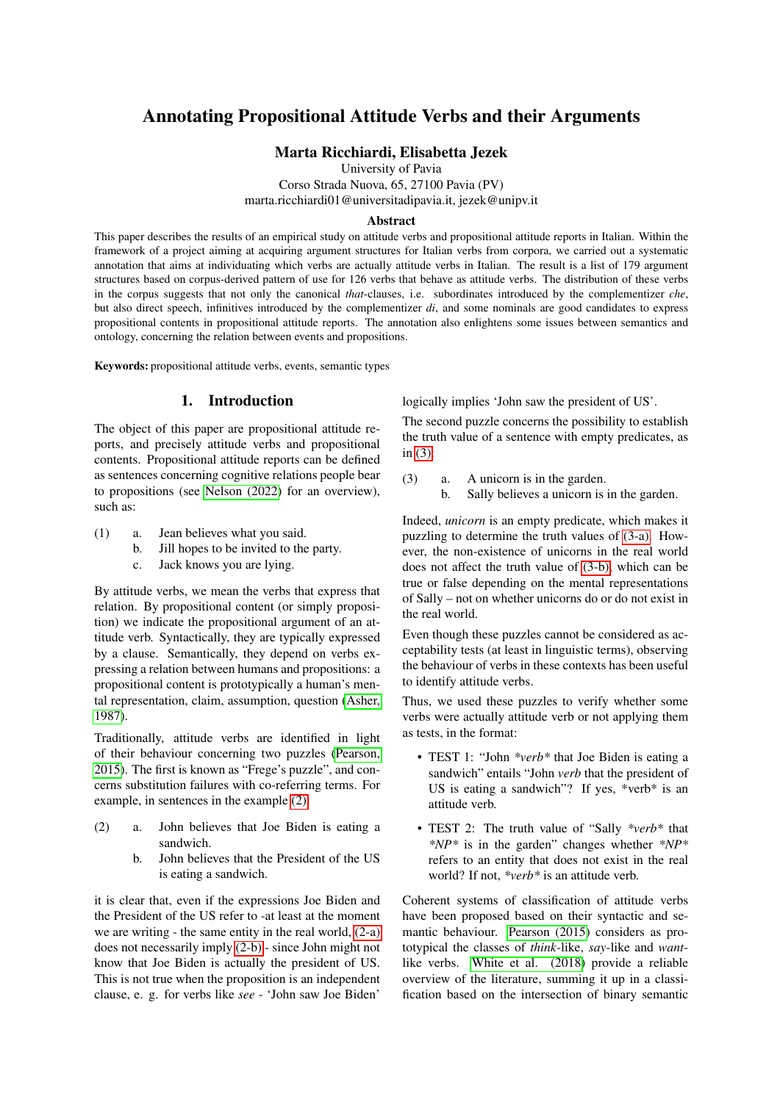# Annotating Propositional Attitude Verbs and their Arguments

### Marta Ricchiardi, Elisabetta Jezek

University of Pavia Corso Strada Nuova, 65, 27100 Pavia (PV)

marta.ricchiardi01@universitadipavia.it, jezek@unipv.it

#### Abstract

This paper describes the results of an empirical study on attitude verbs and propositional attitude reports in Italian. Within the framework of a project aiming at acquiring argument structures for Italian verbs from corpora, we carried out a systematic annotation that aims at individuating which verbs are actually attitude verbs in Italian. The result is a list of 179 argument structures based on corpus-derived pattern of use for 126 verbs that behave as attitude verbs. The distribution of these verbs in the corpus suggests that not only the canonical *that*-clauses, i.e. subordinates introduced by the complementizer *che*, but also direct speech, infinitives introduced by the complementizer *di*, and some nominals are good candidates to express propositional contents in propositional attitude reports. The annotation also enlightens some issues between semantics and ontology, concerning the relation between events and propositions.

Keywords: propositional attitude verbs, events, semantic types

### 1. Introduction

<span id="page-0-9"></span>The object of this paper are propositional attitude reports, and precisely attitude verbs and propositional contents. Propositional attitude reports can be defined as sentences concerning cognitive relations people bear to propositions (see [Nelson \(2022\)](#page-6-0) for an overview), such as:

- <span id="page-0-8"></span><span id="page-0-7"></span><span id="page-0-6"></span>(1) a. Jean believes what you said.
	- b. Jill hopes to be invited to the party.
	- c. Jack knows you are lying.

By attitude verbs, we mean the verbs that express that relation. By propositional content (or simply proposition) we indicate the propositional argument of an attitude verb. Syntactically, they are typically expressed by a clause. Semantically, they depend on verbs expressing a relation between humans and propositions: a propositional content is prototypically a human's mental representation, claim, assumption, question [\(Asher,](#page-6-1) [1987\)](#page-6-1).

Traditionally, attitude verbs are identified in light of their behaviour concerning two puzzles [\(Pearson,](#page-6-2) [2015\)](#page-6-2). The first is known as "Frege's puzzle", and concerns substitution failures with co-referring terms. For example, in sentences in the example [\(2\):](#page-0-0)

- <span id="page-0-2"></span><span id="page-0-1"></span><span id="page-0-0"></span>(2) a. John believes that Joe Biden is eating a sandwich.
	- b. John believes that the President of the US is eating a sandwich.

it is clear that, even if the expressions Joe Biden and the President of the US refer to -at least at the moment we are writing - the same entity in the real world, [\(2-a\)](#page-0-1) does not necessarily imply [\(2-b\)](#page-0-2) - since John might not know that Joe Biden is actually the president of US. This is not true when the proposition is an independent clause, e. g. for verbs like *see* - 'John saw Joe Biden'

logically implies 'John saw the president of US'.

<span id="page-0-3"></span>The second puzzle concerns the possibility to establish the truth value of a sentence with empty predicates, as in [\(3\):](#page-0-3)

- <span id="page-0-5"></span><span id="page-0-4"></span>(3) a. A unicorn is in the garden.
	- b. Sally believes a unicorn is in the garden.

Indeed, *unicorn* is an empty predicate, which makes it puzzling to determine the truth values of [\(3-a\).](#page-0-4) However, the non-existence of unicorns in the real world does not affect the truth value of [\(3-b\),](#page-0-5) which can be true or false depending on the mental representations of Sally – not on whether unicorns do or do not exist in the real world.

Even though these puzzles cannot be considered as acceptability tests (at least in linguistic terms), observing the behaviour of verbs in these contexts has been useful to identify attitude verbs.

Thus, we used these puzzles to verify whether some verbs were actually attitude verb or not applying them as tests, in the format:

- TEST 1: "John *\*verb\** that Joe Biden is eating a sandwich" entails "John *verb* that the president of US is eating a sandwich"? If yes,  $*verb* is an$ attitude verb.
- TEST 2: The truth value of "Sally *\*verb\** that *\*NP\** is in the garden" changes whether *\*NP\** refers to an entity that does not exist in the real world? If not, *\*verb\** is an attitude verb.

Coherent systems of classification of attitude verbs have been proposed based on their syntactic and semantic behaviour. [Pearson \(2015\)](#page-6-2) considers as prototypical the classes of *think*-like, *say*-like and *want*like verbs. [White et al. \(2018\)](#page-7-0) provide a reliable overview of the literature, summing it up in a classification based on the intersection of binary semantic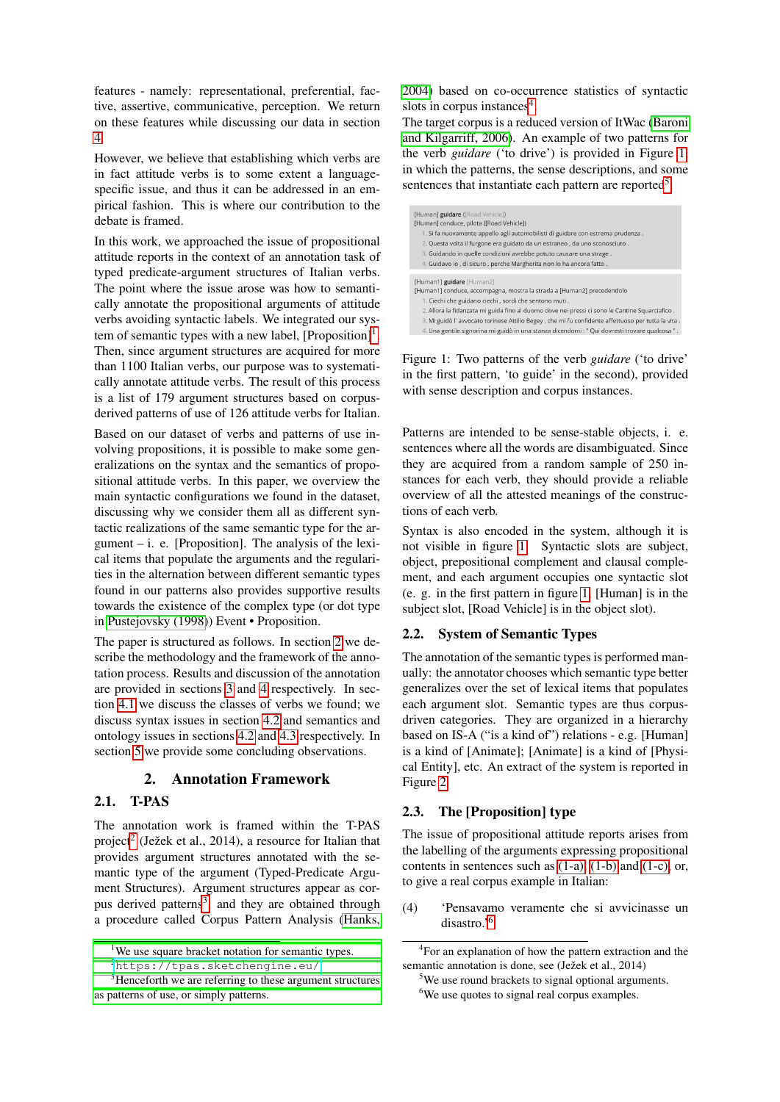features - namely: representational, preferential, factive, assertive, communicative, perception. We return on these features while discussing our data in section [4.](#page-3-0)

However, we believe that establishing which verbs are in fact attitude verbs is to some extent a languagespecific issue, and thus it can be addressed in an empirical fashion. This is where our contribution to the debate is framed.

In this work, we approached the issue of propositional attitude reports in the context of an annotation task of typed predicate-argument structures of Italian verbs. The point where the issue arose was how to semantically annotate the propositional arguments of attitude verbs avoiding syntactic labels. We integrated our system of semantic types with a new label,  $[Proposition]$ <sup>[1](#page-1-0)</sup>. Then, since argument structures are acquired for more than 1100 Italian verbs, our purpose was to systematically annotate attitude verbs. The result of this process is a list of 179 argument structures based on corpusderived patterns of use of 126 attitude verbs for Italian.

Based on our dataset of verbs and patterns of use involving propositions, it is possible to make some generalizations on the syntax and the semantics of propositional attitude verbs. In this paper, we overview the main syntactic configurations we found in the dataset, discussing why we consider them all as different syntactic realizations of the same semantic type for the argument  $-$  i. e. [Proposition]. The analysis of the lexical items that populate the arguments and the regularities in the alternation between different semantic types found in our patterns also provides supportive results towards the existence of the complex type (or dot type in [Pustejovsky \(1998\)](#page-6-3)) Event • Proposition.

The paper is structured as follows. In section [2](#page-1-1) we describe the methodology and the framework of the annotation process. Results and discussion of the annotation are provided in sections [3](#page-2-0) and [4](#page-3-0) respectively. In section [4.1](#page-3-1) we discuss the classes of verbs we found; we discuss syntax issues in section [4.2](#page-4-0) and semantics and ontology issues in sections [4.2](#page-4-0) and [4.3](#page-5-0) respectively. In section [5](#page-6-4) we provide some concluding observations.

## 2. Annotation Framework

## <span id="page-1-1"></span>2.1. T-PAS

The annotation work is framed within the T-PAS project<sup>[2](#page-1-2)</sup> (Ježek et al., 2014), a resource for Italian that provides argument structures annotated with the semantic type of the argument (Typed-Predicate Argument Structures). Argument structures appear as cor-pus derived patterns<sup>[3](#page-1-3)</sup>, and they are obtained through a procedure called Corpus Pattern Analysis [\(Hanks,](#page-6-5)

[2004\)](#page-6-5) based on co-occurrence statistics of syntactic slots in corpus instances<sup>[4](#page-1-4)</sup>.

The target corpus is a reduced version of ItWac [\(Baroni](#page-6-6) [and Kilgarriff, 2006\)](#page-6-6). An example of two patterns for the verb *guidare* ('to drive') is provided in Figure [1,](#page-1-5) in which the patterns, the sense descriptions, and some sentences that instantiate each pattern are reported<sup>[5](#page-1-6)</sup>.



<span id="page-1-5"></span>Figure 1: Two patterns of the verb *guidare* ('to drive' in the first pattern, 'to guide' in the second), provided with sense description and corpus instances.

Patterns are intended to be sense-stable objects, i. e. sentences where all the words are disambiguated. Since they are acquired from a random sample of 250 instances for each verb, they should provide a reliable overview of all the attested meanings of the constructions of each verb.

Syntax is also encoded in the system, although it is not visible in figure [1.](#page-1-5) Syntactic slots are subject, object, prepositional complement and clausal complement, and each argument occupies one syntactic slot (e. g. in the first pattern in figure [1,](#page-1-5) [Human] is in the subject slot, [Road Vehicle] is in the object slot).

### 2.2. System of Semantic Types

The annotation of the semantic types is performed manually: the annotator chooses which semantic type better generalizes over the set of lexical items that populates each argument slot. Semantic types are thus corpusdriven categories. They are organized in a hierarchy based on IS-A ("is a kind of") relations - e.g. [Human] is a kind of [Animate]; [Animate] is a kind of [Physical Entity], etc. An extract of the system is reported in Figure [2.](#page-2-1)

### 2.3. The [Proposition] type

The issue of propositional attitude reports arises from the labelling of the arguments expressing propositional contents in sentences such as [\(1-a\),](#page-0-6) [\(1-b\)](#page-0-7) and [\(1-c\),](#page-0-8) or, to give a real corpus example in Italian:

<span id="page-1-8"></span>(4) 'Pensavamo veramente che si avvicinasse un disastro.'[6](#page-1-7)

<span id="page-1-0"></span><sup>&</sup>lt;sup>1</sup>[We use square bracket notation for semantic types.](#page-6-5)

<span id="page-1-3"></span><span id="page-1-2"></span><sup>2</sup>[https://tpas.sketchengine.eu/](#page-6-5).

<sup>&</sup>lt;sup>3</sup>[Henceforth we are referring to these argument structures](#page-6-5) [as patterns of use, or simply patterns.](#page-6-5)

<span id="page-1-4"></span><sup>&</sup>lt;sup>4</sup> For an explanation of how the pattern extraction and the semantic annotation is done, see (Ježek et al., 2014)

<span id="page-1-6"></span><sup>&</sup>lt;sup>5</sup>We use round brackets to signal optional arguments.

<span id="page-1-7"></span><sup>&</sup>lt;sup>6</sup>We use quotes to signal real corpus examples.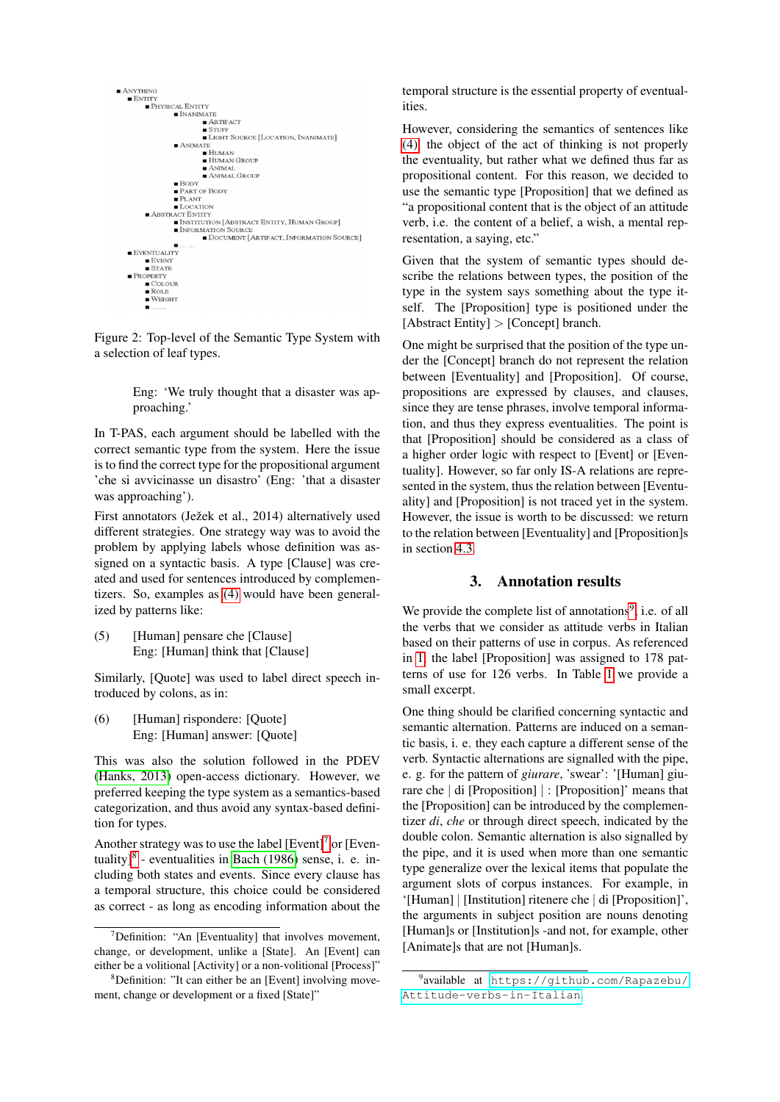

<span id="page-2-1"></span>Figure 2: Top-level of the Semantic Type System with a selection of leaf types.

> Eng: 'We truly thought that a disaster was approaching.'

In T-PAS, each argument should be labelled with the correct semantic type from the system. Here the issue is to find the correct type for the propositional argument 'che si avvicinasse un disastro' (Eng: 'that a disaster was approaching').

First annotators (Ježek et al., 2014) alternatively used different strategies. One strategy way was to avoid the problem by applying labels whose definition was assigned on a syntactic basis. A type [Clause] was created and used for sentences introduced by complementizers. So, examples as [\(4\)](#page-1-8) would have been generalized by patterns like:

(5) [Human] pensare che [Clause] Eng: [Human] think that [Clause]

Similarly, [Quote] was used to label direct speech introduced by colons, as in:

(6) [Human] rispondere: [Quote] Eng: [Human] answer: [Quote]

This was also the solution followed in the PDEV [\(Hanks, 2013\)](#page-6-7) open-access dictionary. However, we preferred keeping the type system as a semantics-based categorization, and thus avoid any syntax-based definition for types.

Another strategy was to use the label  $[Event]^7$  $[Event]^7$  or  $[Even$ tuality] $8$  - eventualities in [Bach \(1986\)](#page-6-8) sense, i. e. including both states and events. Since every clause has a temporal structure, this choice could be considered as correct - as long as encoding information about the temporal structure is the essential property of eventualities.

However, considering the semantics of sentences like [\(4\),](#page-1-8) the object of the act of thinking is not properly the eventuality, but rather what we defined thus far as propositional content. For this reason, we decided to use the semantic type [Proposition] that we defined as "a propositional content that is the object of an attitude verb, i.e. the content of a belief, a wish, a mental representation, a saying, etc."

Given that the system of semantic types should describe the relations between types, the position of the type in the system says something about the type itself. The [Proposition] type is positioned under the [Abstract Entity] > [Concept] branch.

One might be surprised that the position of the type under the [Concept] branch do not represent the relation between [Eventuality] and [Proposition]. Of course, propositions are expressed by clauses, and clauses, since they are tense phrases, involve temporal information, and thus they express eventualities. The point is that [Proposition] should be considered as a class of a higher order logic with respect to [Event] or [Eventuality]. However, so far only IS-A relations are represented in the system, thus the relation between [Eventuality] and [Proposition] is not traced yet in the system. However, the issue is worth to be discussed: we return to the relation between [Eventuality] and [Proposition]s in section [4.3.](#page-5-0)

### 3. Annotation results

<span id="page-2-0"></span>We provide the complete list of annotations<sup>[9](#page-2-4)</sup>, i.e. of all the verbs that we consider as attitude verbs in Italian based on their patterns of use in corpus. As referenced in [1,](#page-0-9) the label [Proposition] was assigned to 178 patterns of use for 126 verbs. In Table [1](#page-3-2) we provide a small excerpt.

One thing should be clarified concerning syntactic and semantic alternation. Patterns are induced on a semantic basis, i. e. they each capture a different sense of the verb. Syntactic alternations are signalled with the pipe, e. g. for the pattern of *giurare*, 'swear': '[Human] giurare che | di [Proposition] | : [Proposition]' means that the [Proposition] can be introduced by the complementizer *di*, *che* or through direct speech, indicated by the double colon. Semantic alternation is also signalled by the pipe, and it is used when more than one semantic type generalize over the lexical items that populate the argument slots of corpus instances. For example, in '[Human] | [Institution] ritenere che | di [Proposition]', the arguments in subject position are nouns denoting [Human]s or [Institution]s -and not, for example, other [Animate]s that are not [Human]s.

<span id="page-2-2"></span> $7$ Definition: "An [Eventuality] that involves movement, change, or development, unlike a [State]. An [Event] can either be a volitional [Activity] or a non-volitional [Process]"

<span id="page-2-3"></span><sup>&</sup>lt;sup>8</sup>Definition: "It can either be an [Event] involving movement, change or development or a fixed [State]"

<span id="page-2-4"></span><sup>9</sup> available at [https://github.com/Rapazebu/](https://github.com/Rapazebu/Attitude-verbs-in-Italian) [Attitude-verbs-in-Italian](https://github.com/Rapazebu/Attitude-verbs-in-Italian).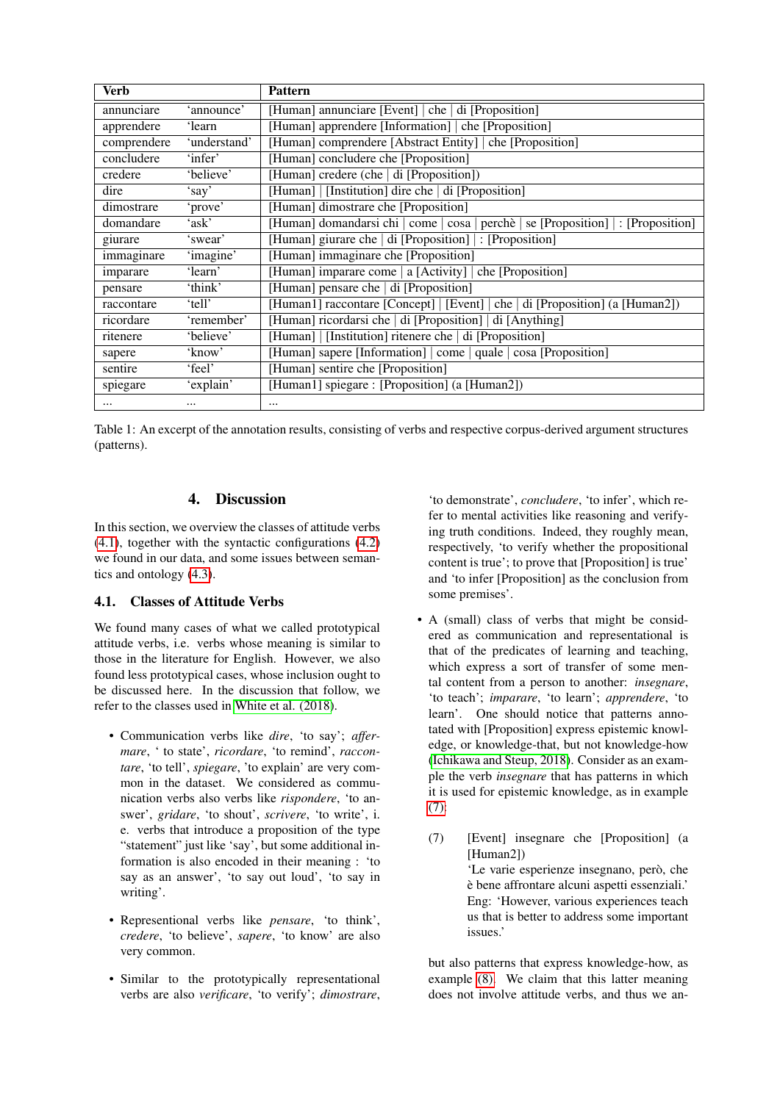| <b>Verb</b> |              | <b>Pattern</b>                                                                     |  |
|-------------|--------------|------------------------------------------------------------------------------------|--|
| annunciare  | 'announce'   | [Human] annunciare [Event]   che   di [Proposition]                                |  |
| apprendere  | 'learn       | [Human] apprendere [Information] che [Proposition]                                 |  |
| comprendere | 'understand' | [Human] comprendere [Abstract Entity]   che [Proposition]                          |  |
| concludere  | 'infer'      | [Human] concludere che [Proposition]                                               |  |
| credere     | 'believe'    | [Human] credere (che   di [Proposition])                                           |  |
| dire        | 'say'        | [Human]   [Institution] dire che   di [Proposition]                                |  |
| dimostrare  | 'prove'      | [Human] dimostrare che [Proposition]                                               |  |
| domandare   | 'ask'        | [Human] domandarsi chi   come   cosa   perchè   se [Proposition]   : [Proposition] |  |
| giurare     | 'swear'      | [Human] giurare che   di [Proposition]   : [Proposition]                           |  |
| immaginare  | 'imagine'    | [Human] immaginare che [Proposition]                                               |  |
| imparare    | 'learn'      | [Human] imparare come   a [Activity]   che [Proposition]                           |  |
| pensare     | 'think'      | [Human] pensare che   di [Proposition]                                             |  |
| raccontare  | 'tell'       | [Human1] raccontare [Concept]   [Event]   che   di [Proposition] (a [Human2])      |  |
| ricordare   | 'remember'   | [Human] ricordarsi che   di [Proposition]   di [Anything]                          |  |
| ritenere    | 'believe'    | [Human]   [Institution] ritenere che   di [Proposition]                            |  |
| sapere      | 'know'       | [Human] sapere [Information] come   quale   cosa [Proposition]                     |  |
| sentire     | 'feel'       | [Human] sentire che [Proposition]                                                  |  |
| spiegare    | 'explain'    | [Human1] spiegare : [Proposition] (a [Human2])                                     |  |
| $\cdots$    | $\cdots$     | $\cdots$                                                                           |  |

<span id="page-3-2"></span>Table 1: An excerpt of the annotation results, consisting of verbs and respective corpus-derived argument structures (patterns).

## 4. Discussion

<span id="page-3-0"></span>In this section, we overview the classes of attitude verbs [\(4.1\)](#page-3-1), together with the syntactic configurations [\(4.2\)](#page-4-0) we found in our data, and some issues between semantics and ontology [\(4.3\)](#page-5-0).

### <span id="page-3-1"></span>4.1. Classes of Attitude Verbs

We found many cases of what we called prototypical attitude verbs, i.e. verbs whose meaning is similar to those in the literature for English. However, we also found less prototypical cases, whose inclusion ought to be discussed here. In the discussion that follow, we refer to the classes used in [White et al. \(2018\)](#page-7-0).

- Communication verbs like *dire*, 'to say'; *affermare*, ' to state', *ricordare*, 'to remind', *raccontare*, 'to tell', *spiegare*, 'to explain' are very common in the dataset. We considered as communication verbs also verbs like *rispondere*, 'to answer', *gridare*, 'to shout', *scrivere*, 'to write', i. e. verbs that introduce a proposition of the type "statement" just like 'say', but some additional information is also encoded in their meaning : 'to say as an answer', 'to say out loud', 'to say in writing'.
- Representional verbs like *pensare*, 'to think', *credere*, 'to believe', *sapere*, 'to know' are also very common.
- Similar to the prototypically representational verbs are also *verificare*, 'to verify'; *dimostrare*,

'to demonstrate', *concludere*, 'to infer', which refer to mental activities like reasoning and verifying truth conditions. Indeed, they roughly mean, respectively, 'to verify whether the propositional content is true'; to prove that [Proposition] is true' and 'to infer [Proposition] as the conclusion from some premises'.

- A (small) class of verbs that might be considered as communication and representational is that of the predicates of learning and teaching, which express a sort of transfer of some mental content from a person to another: *insegnare*, 'to teach'; *imparare*, 'to learn'; *apprendere*, 'to learn'. One should notice that patterns annotated with [Proposition] express epistemic knowledge, or knowledge-that, but not knowledge-how [\(Ichikawa and Steup, 2018\)](#page-6-9). Consider as an example the verb *insegnare* that has patterns in which it is used for epistemic knowledge, as in example [\(7\):](#page-3-3)
	- (7) [Event] insegnare che [Proposition] (a [Human2]) 'Le varie esperienze insegnano, però, che e bene affrontare alcuni aspetti essenziali.' ` Eng: 'However, various experiences teach us that is better to address some important issues.'

<span id="page-3-3"></span>but also patterns that express knowledge-how, as example [\(8\).](#page-4-1) We claim that this latter meaning does not involve attitude verbs, and thus we an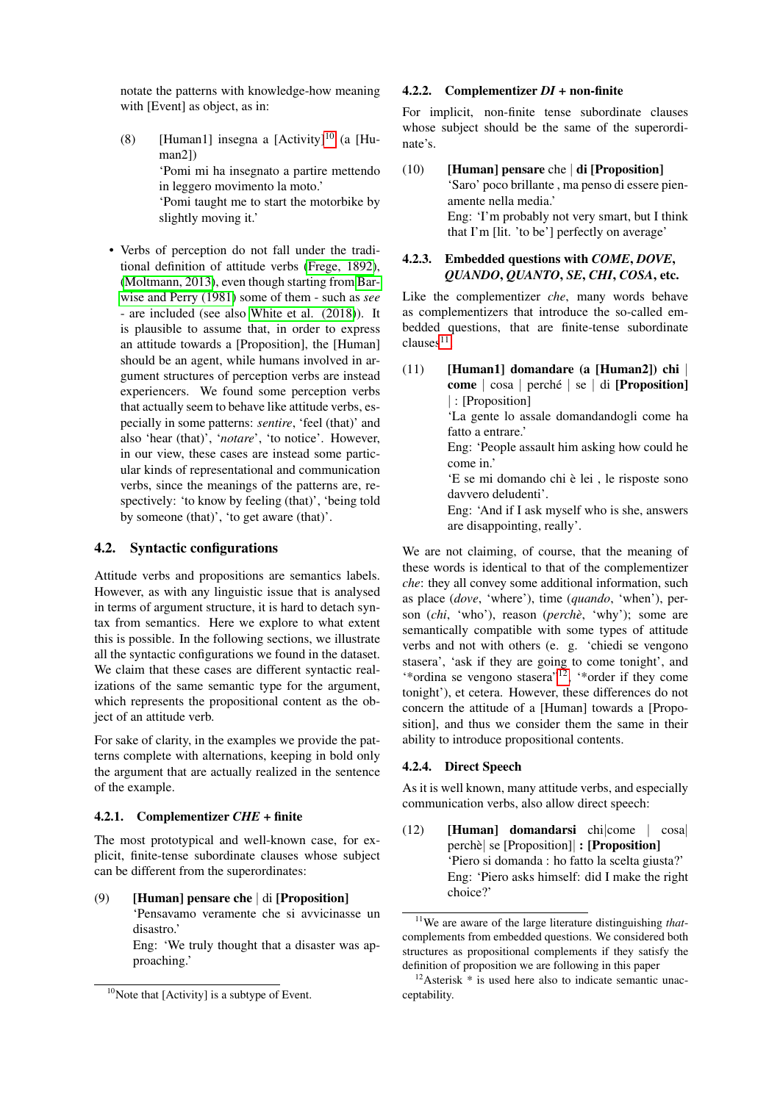notate the patterns with knowledge-how meaning with [Event] as object, as in:

- <span id="page-4-1"></span>(8) [Human1] insegna a  $[Activity]^{10}$  $[Activity]^{10}$  $[Activity]^{10}$  (a  $[Hu$ man2]) 'Pomi mi ha insegnato a partire mettendo in leggero movimento la moto.' 'Pomi taught me to start the motorbike by slightly moving it.'
- Verbs of perception do not fall under the traditional definition of attitude verbs [\(Frege, 1892\)](#page-6-10), [\(Moltmann, 2013\)](#page-6-11), even though starting from [Bar](#page-6-12)[wise and Perry \(1981\)](#page-6-12) some of them - such as *see* - are included (see also [White et al. \(2018\)](#page-7-0)). It is plausible to assume that, in order to express an attitude towards a [Proposition], the [Human] should be an agent, while humans involved in argument structures of perception verbs are instead experiencers. We found some perception verbs that actually seem to behave like attitude verbs, especially in some patterns: *sentire*, 'feel (that)' and also 'hear (that)', '*notare*', 'to notice'. However, in our view, these cases are instead some particular kinds of representational and communication verbs, since the meanings of the patterns are, respectively: 'to know by feeling (that)', 'being told by someone (that)', 'to get aware (that)'.

### <span id="page-4-0"></span>4.2. Syntactic configurations

Attitude verbs and propositions are semantics labels. However, as with any linguistic issue that is analysed in terms of argument structure, it is hard to detach syntax from semantics. Here we explore to what extent this is possible. In the following sections, we illustrate all the syntactic configurations we found in the dataset. We claim that these cases are different syntactic realizations of the same semantic type for the argument, which represents the propositional content as the object of an attitude verb.

For sake of clarity, in the examples we provide the patterns complete with alternations, keeping in bold only the argument that are actually realized in the sentence of the example.

#### 4.2.1. Complementizer *CHE* + finite

The most prototypical and well-known case, for explicit, finite-tense subordinate clauses whose subject can be different from the superordinates:

(9) [Human] pensare che | di [Proposition]

'Pensavamo veramente che si avvicinasse un disastro.'

Eng: 'We truly thought that a disaster was approaching.'

#### 4.2.2. Complementizer *DI* + non-finite

For implicit, non-finite tense subordinate clauses whose subject should be the same of the superordinate's.

## (10) [Human] pensare che | di [Proposition] 'Saro' poco brillante , ma penso di essere pienamente nella media.' Eng: 'I'm probably not very smart, but I think that I'm [lit. 'to be'] perfectly on average'

### 4.2.3. Embedded questions with *COME*, *DOVE*, *QUANDO*, *QUANTO*, *SE*, *CHI*, *COSA*, etc.

Like the complementizer *che*, many words behave as complementizers that introduce the so-called embedded questions, that are finite-tense subordinate  $clauses<sup>11</sup>$  $clauses<sup>11</sup>$  $clauses<sup>11</sup>$ .

(11) [Human1] domandare (a [Human2]) chi | come  $| \cos a |$  perché  $| \sin a |$  [Proposition] | : [Proposition] 'La gente lo assale domandandogli come ha fatto a entrare.' Eng: 'People assault him asking how could he come in.' 'E se mi domando chi è lei, le risposte sono davvero deludenti'. Eng: 'And if I ask myself who is she, answers are disappointing, really'.

We are not claiming, of course, that the meaning of these words is identical to that of the complementizer *che*: they all convey some additional information, such as place (*dove*, 'where'), time (*quando*, 'when'), person (*chi*, 'who'), reason (*perche`*, 'why'); some are semantically compatible with some types of attitude verbs and not with others (e. g. 'chiedi se vengono stasera', 'ask if they are going to come tonight', and '\*ordina se vengono stasera"[12](#page-4-4), '\*order if they come tonight'), et cetera. However, these differences do not concern the attitude of a [Human] towards a [Proposition], and thus we consider them the same in their ability to introduce propositional contents.

#### 4.2.4. Direct Speech

As it is well known, many attitude verbs, and especially communication verbs, also allow direct speech:

(12) [Human] domandarsi chi|come | cosa| perche`| se [Proposition]| : [Proposition] 'Piero si domanda : ho fatto la scelta giusta?' Eng: 'Piero asks himself: did I make the right choice?'

<span id="page-4-2"></span> $10$ Note that [Activity] is a subtype of Event.

<span id="page-4-3"></span><sup>11</sup>We are aware of the large literature distinguishing *that*complements from embedded questions. We considered both structures as propositional complements if they satisfy the definition of proposition we are following in this paper

<span id="page-4-4"></span> $12$ Asterisk  $*$  is used here also to indicate semantic unacceptability.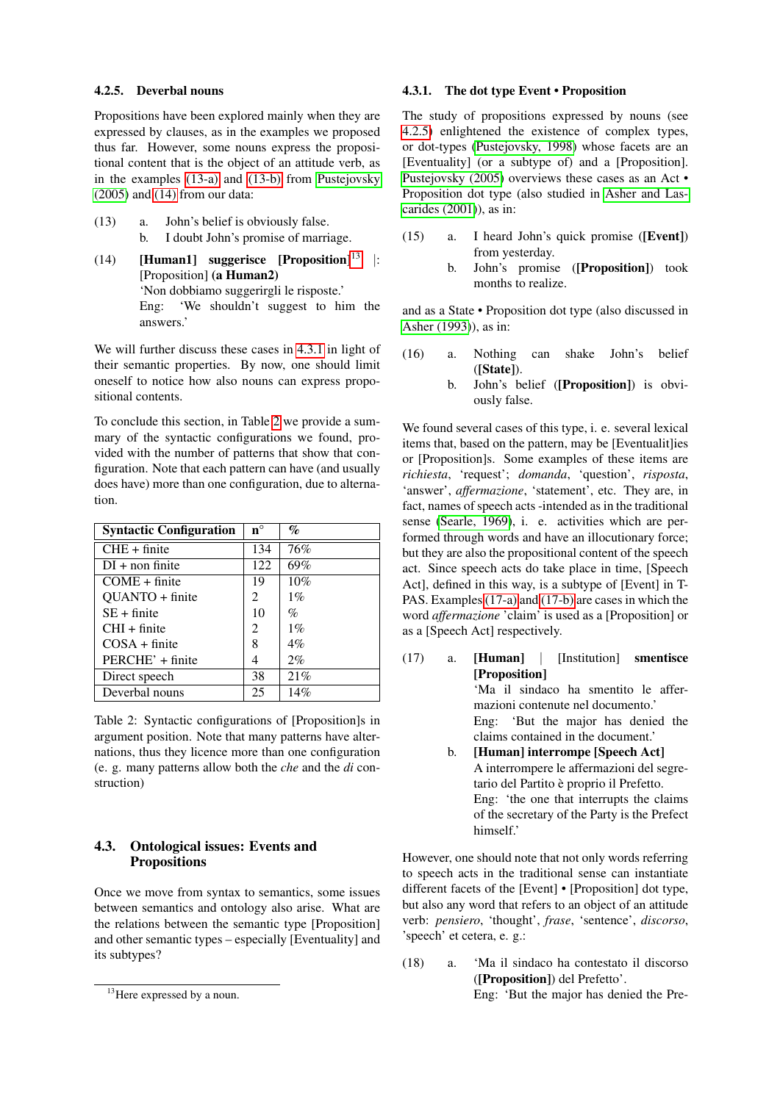#### <span id="page-5-7"></span>4.2.5. Deverbal nouns

Propositions have been explored mainly when they are expressed by clauses, as in the examples we proposed thus far. However, some nouns express the propositional content that is the object of an attitude verb, as in the examples [\(13-a\)](#page-5-1) and [\(13-b\)](#page-5-2) from [Pustejovsky](#page-7-1) [\(2005\)](#page-7-1) and [\(14\)](#page-5-3) from our data:

- <span id="page-5-2"></span><span id="page-5-1"></span>(13) a. John's belief is obviously false. b. I doubt John's promise of marriage.
- <span id="page-5-3"></span>(14) [Human1] suggerisce  $[Proposition]$ <sup>[13](#page-5-4)</sup> |: [Proposition] (a Human2) 'Non dobbiamo suggerirgli le risposte.' Eng: 'We shouldn't suggest to him the answers.'

We will further discuss these cases in [4.3.1](#page-5-5) in light of their semantic properties. By now, one should limit oneself to notice how also nouns can express propositional contents.

To conclude this section, in Table [2](#page-5-6) we provide a summary of the syntactic configurations we found, provided with the number of patterns that show that configuration. Note that each pattern can have (and usually does have) more than one configuration, due to alternation.

| <b>Syntactic Configuration</b> | $n^{\circ}$ | $\%$  |
|--------------------------------|-------------|-------|
| $CHE + finite$                 | 134         | 76%   |
| $DI + non finite$              | 122         | 69%   |
| $COME + finite$                | 19          | 10%   |
| QUANTO + finite                | 2           | $1\%$ |
| $SE + finite$                  | 10          | $\%$  |
| $CHI + finite$                 | 2           | $1\%$ |
| $COSA + finite$                | 8           | $4\%$ |
| PERCHE' + finite               | 4           | $2\%$ |
| Direct speech                  | 38          | 21%   |
| Deverbal nouns                 | 25          | 14%   |

<span id="page-5-6"></span>Table 2: Syntactic configurations of [Proposition]s in argument position. Note that many patterns have alternations, thus they licence more than one configuration (e. g. many patterns allow both the *che* and the *di* construction)

## <span id="page-5-0"></span>4.3. Ontological issues: Events and **Propositions**

Once we move from syntax to semantics, some issues between semantics and ontology also arise. What are the relations between the semantic type [Proposition] and other semantic types – especially [Eventuality] and its subtypes?

#### <span id="page-5-5"></span>4.3.1. The dot type Event • Proposition

The study of propositions expressed by nouns (see [4.2.5\)](#page-5-7) enlightened the existence of complex types, or dot-types [\(Pustejovsky, 1998\)](#page-6-3) whose facets are an [Eventuality] (or a subtype of) and a [Proposition]. [Pustejovsky \(2005\)](#page-7-1) overviews these cases as an Act • Proposition dot type (also studied in [Asher and Las](#page-6-13)[carides \(2001\)](#page-6-13)), as in:

- (15) a. I heard John's quick promise ([Event]) from yesterday.
	- b. John's promise ([Proposition]) took months to realize.

and as a State • Proposition dot type (also discussed in [Asher \(1993\)](#page-6-14)), as in:

- (16) a. Nothing can shake John's belief ([State]).
	- b. John's belief ([Proposition]) is obviously false.

We found several cases of this type, i. e. several lexical items that, based on the pattern, may be [Eventualit]ies or [Proposition]s. Some examples of these items are *richiesta*, 'request'; *domanda*, 'question', *risposta*, 'answer', *affermazione*, 'statement', etc. They are, in fact, names of speech acts -intended as in the traditional sense [\(Searle, 1969\)](#page-7-2), i. e. activities which are performed through words and have an illocutionary force; but they are also the propositional content of the speech act. Since speech acts do take place in time, [Speech Act], defined in this way, is a subtype of [Event] in T-PAS. Examples [\(17-a\)](#page-5-8) and [\(17-b\)](#page-5-9) are cases in which the word *affermazione* 'claim' is used as a [Proposition] or as a [Speech Act] respectively.

<span id="page-5-9"></span><span id="page-5-8"></span>(17) a. [Human] | [Institution] smentisce [Proposition] 'Ma il sindaco ha smentito le affermazioni contenute nel documento.' Eng: 'But the major has denied the claims contained in the document.' b. [Human] interrompe [Speech Act] A interrompere le affermazioni del segretario del Partito è proprio il Prefetto. Eng: 'the one that interrupts the claims of the secretary of the Party is the Prefect himself.'

However, one should note that not only words referring to speech acts in the traditional sense can instantiate different facets of the [Event] • [Proposition] dot type, but also any word that refers to an object of an attitude verb: *pensiero*, 'thought', *frase*, 'sentence', *discorso*, 'speech' et cetera, e. g.:

(18) a. 'Ma il sindaco ha contestato il discorso ([Proposition]) del Prefetto'. Eng: 'But the major has denied the Pre-

<span id="page-5-4"></span><sup>&</sup>lt;sup>13</sup>Here expressed by a noun.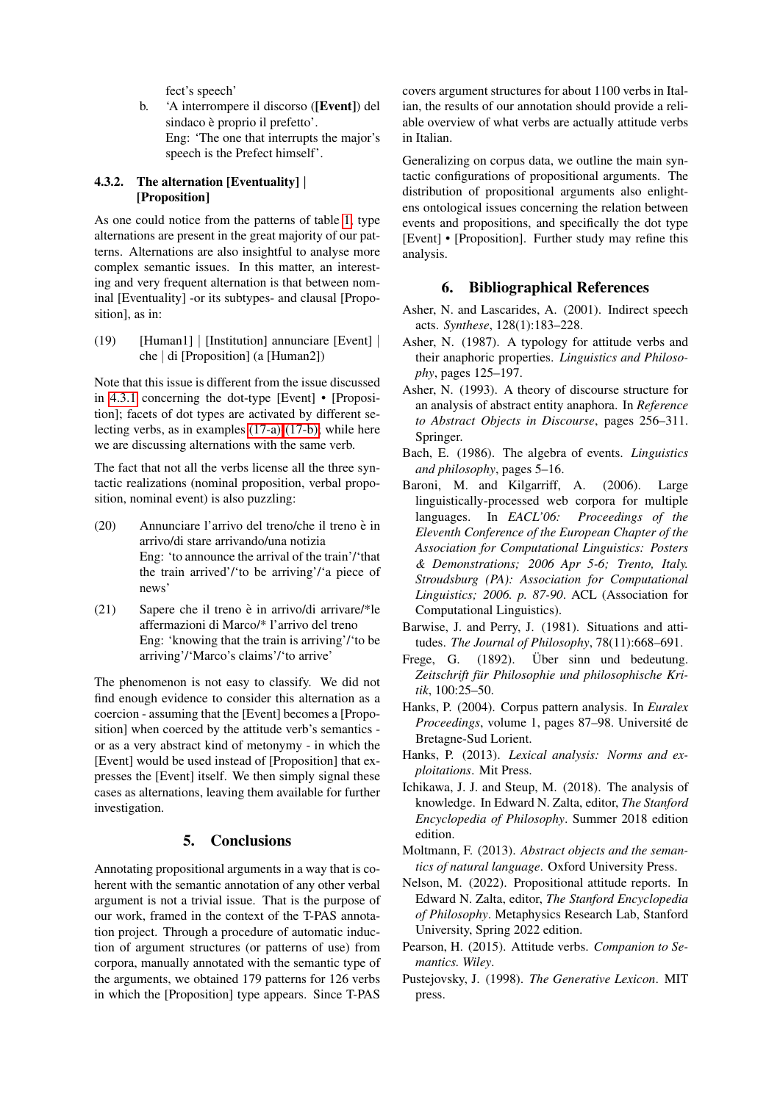fect's speech'

b. 'A interrompere il discorso ([Event]) del sindaco è proprio il prefetto'. Eng: 'The one that interrupts the major's speech is the Prefect himself'.

## 4.3.2. The alternation [Eventuality] | [Proposition]

As one could notice from the patterns of table [1,](#page-3-2) type alternations are present in the great majority of our patterns. Alternations are also insightful to analyse more complex semantic issues. In this matter, an interesting and very frequent alternation is that between nominal [Eventuality] -or its subtypes- and clausal [Proposition], as in:

(19) [Human1] | [Institution] annunciare [Event] | che | di [Proposition] (a [Human2])

Note that this issue is different from the issue discussed in [4.3.1](#page-5-5) concerning the dot-type [Event] • [Proposition]; facets of dot types are activated by different selecting verbs, as in examples [\(17-a\)](#page-5-8)[-\(17-b\);](#page-5-9) while here we are discussing alternations with the same verb.

The fact that not all the verbs license all the three syntactic realizations (nominal proposition, verbal proposition, nominal event) is also puzzling:

- $(20)$  Annunciare l'arrivo del treno/che il treno è in arrivo/di stare arrivando/una notizia Eng: 'to announce the arrival of the train'/'that the train arrived'/'to be arriving'/'a piece of news'
- (21) Sapere che il treno è in arrivo/di arrivare/\*le affermazioni di Marco/\* l'arrivo del treno Eng: 'knowing that the train is arriving'/'to be arriving'/'Marco's claims'/'to arrive'

The phenomenon is not easy to classify. We did not find enough evidence to consider this alternation as a coercion - assuming that the [Event] becomes a [Proposition] when coerced by the attitude verb's semantics or as a very abstract kind of metonymy - in which the [Event] would be used instead of [Proposition] that expresses the [Event] itself. We then simply signal these cases as alternations, leaving them available for further investigation.

## 5. Conclusions

<span id="page-6-4"></span>Annotating propositional arguments in a way that is coherent with the semantic annotation of any other verbal argument is not a trivial issue. That is the purpose of our work, framed in the context of the T-PAS annotation project. Through a procedure of automatic induction of argument structures (or patterns of use) from corpora, manually annotated with the semantic type of the arguments, we obtained 179 patterns for 126 verbs in which the [Proposition] type appears. Since T-PAS

covers argument structures for about 1100 verbs in Italian, the results of our annotation should provide a reliable overview of what verbs are actually attitude verbs in Italian.

Generalizing on corpus data, we outline the main syntactic configurations of propositional arguments. The distribution of propositional arguments also enlightens ontological issues concerning the relation between events and propositions, and specifically the dot type [Event] • [Proposition]. Further study may refine this analysis.

## 6. Bibliographical References

- <span id="page-6-13"></span>Asher, N. and Lascarides, A. (2001). Indirect speech acts. *Synthese*, 128(1):183–228.
- <span id="page-6-1"></span>Asher, N. (1987). A typology for attitude verbs and their anaphoric properties. *Linguistics and Philosophy*, pages 125–197.
- <span id="page-6-14"></span>Asher, N. (1993). A theory of discourse structure for an analysis of abstract entity anaphora. In *Reference to Abstract Objects in Discourse*, pages 256–311. Springer.
- <span id="page-6-8"></span>Bach, E. (1986). The algebra of events. *Linguistics and philosophy*, pages 5–16.
- <span id="page-6-6"></span>Baroni, M. and Kilgarriff, A. (2006). Large linguistically-processed web corpora for multiple languages. In *EACL'06: Proceedings of the Eleventh Conference of the European Chapter of the Association for Computational Linguistics: Posters & Demonstrations; 2006 Apr 5-6; Trento, Italy. Stroudsburg (PA): Association for Computational Linguistics; 2006. p. 87-90*. ACL (Association for Computational Linguistics).
- <span id="page-6-12"></span>Barwise, J. and Perry, J. (1981). Situations and attitudes. *The Journal of Philosophy*, 78(11):668–691.
- <span id="page-6-10"></span>Frege, G. (1892). Über sinn und bedeutung. *Zeitschrift fur Philosophie und philosophische Kri- ¨ tik*, 100:25–50.
- <span id="page-6-5"></span>Hanks, P. (2004). Corpus pattern analysis. In *Euralex Proceedings*, volume 1, pages 87–98. Universite de ´ Bretagne-Sud Lorient.
- <span id="page-6-7"></span>Hanks, P. (2013). *Lexical analysis: Norms and exploitations*. Mit Press.
- <span id="page-6-9"></span>Ichikawa, J. J. and Steup, M. (2018). The analysis of knowledge. In Edward N. Zalta, editor, *The Stanford Encyclopedia of Philosophy*. Summer 2018 edition edition.
- <span id="page-6-11"></span>Moltmann, F. (2013). *Abstract objects and the semantics of natural language*. Oxford University Press.
- <span id="page-6-0"></span>Nelson, M. (2022). Propositional attitude reports. In Edward N. Zalta, editor, *The Stanford Encyclopedia of Philosophy*. Metaphysics Research Lab, Stanford University, Spring 2022 edition.
- <span id="page-6-2"></span>Pearson, H. (2015). Attitude verbs. *Companion to Semantics. Wiley*.
- <span id="page-6-3"></span>Pustejovsky, J. (1998). *The Generative Lexicon*. MIT press.